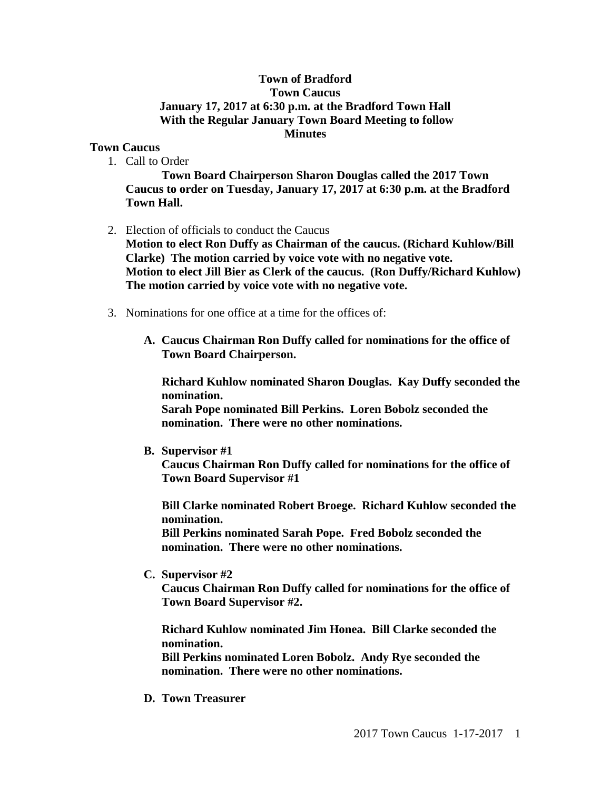## **Town of Bradford Town Caucus January 17, 2017 at 6:30 p.m. at the Bradford Town Hall With the Regular January Town Board Meeting to follow Minutes**

## **Town Caucus**

1. Call to Order

**Town Board Chairperson Sharon Douglas called the 2017 Town Caucus to order on Tuesday, January 17, 2017 at 6:30 p.m. at the Bradford Town Hall.** 

2. Election of officials to conduct the Caucus

**Motion to elect Ron Duffy as Chairman of the caucus. (Richard Kuhlow/Bill Clarke) The motion carried by voice vote with no negative vote. Motion to elect Jill Bier as Clerk of the caucus. (Ron Duffy/Richard Kuhlow) The motion carried by voice vote with no negative vote.**

- 3. Nominations for one office at a time for the offices of:
	- **A. Caucus Chairman Ron Duffy called for nominations for the office of Town Board Chairperson.**

**Richard Kuhlow nominated Sharon Douglas. Kay Duffy seconded the nomination.**

**Sarah Pope nominated Bill Perkins. Loren Bobolz seconded the nomination. There were no other nominations.**

**B. Supervisor #1**

**Caucus Chairman Ron Duffy called for nominations for the office of Town Board Supervisor #1**

**Bill Clarke nominated Robert Broege. Richard Kuhlow seconded the nomination.**

**Bill Perkins nominated Sarah Pope. Fred Bobolz seconded the nomination. There were no other nominations.**

**C. Supervisor #2**

**Caucus Chairman Ron Duffy called for nominations for the office of Town Board Supervisor #2.** 

**Richard Kuhlow nominated Jim Honea. Bill Clarke seconded the nomination.**

**Bill Perkins nominated Loren Bobolz. Andy Rye seconded the nomination. There were no other nominations.**

**D. Town Treasurer**